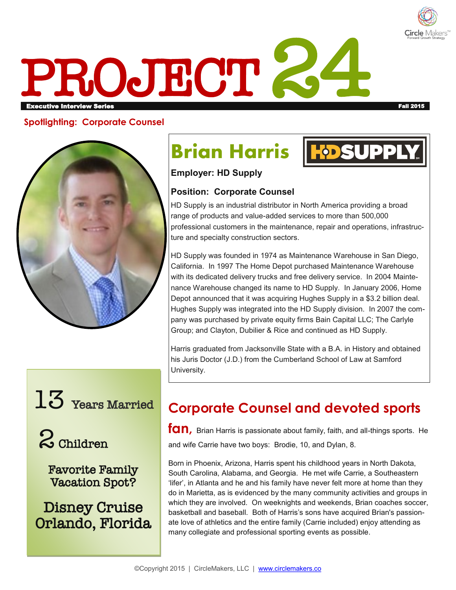

# PROJECT 24 Executive Interview Series Fall 2015

#### **Spotlighting: Corporate Counsel**



## 13 Years Married

2 Children

Favorite Family Vacation Spot?

Disney Cruise Orlando, Florida

## **Brian Harris**



**Employer: HD Supply**

#### **Position: Corporate Counsel**

HD Supply is an industrial distributor in North America providing a broad range of products and value-added services to more than 500,000 professional customers in the maintenance, repair and operations, infrastructure and specialty construction sectors.

HD Supply was founded in 1974 as Maintenance Warehouse in San Diego, California. In 1997 The Home Depot purchased Maintenance Warehouse with its dedicated delivery trucks and free delivery service. In 2004 Maintenance Warehouse changed its name to HD Supply. In January 2006, Home Depot announced that it was acquiring Hughes Supply in a \$3.2 billion deal. Hughes Supply was integrated into the HD Supply division. In 2007 the company was purchased by private equity firms Bain Capital LLC; The Carlyle Group; and Clayton, Dubilier & Rice and continued as HD Supply.

Harris graduated from Jacksonville State with a B.A. in History and obtained his Juris Doctor (J.D.) from the Cumberland School of Law at Samford University.

### **Corporate Counsel and devoted sports**

**fan,** Brian Harris is passionate about family, faith, and all-things sports. He and wife Carrie have two boys: Brodie, 10, and Dylan, 8.

Born in Phoenix, Arizona, Harris spent his childhood years in North Dakota, South Carolina, Alabama, and Georgia. He met wife Carrie, a Southeastern 'lifer', in Atlanta and he and his family have never felt more at home than they do in Marietta, as is evidenced by the many community activities and groups in which they are involved. On weeknights and weekends, Brian coaches soccer, basketball and baseball. Both of Harris's sons have acquired Brian's passionate love of athletics and the entire family (Carrie included) enjoy attending as many collegiate and professional sporting events as possible.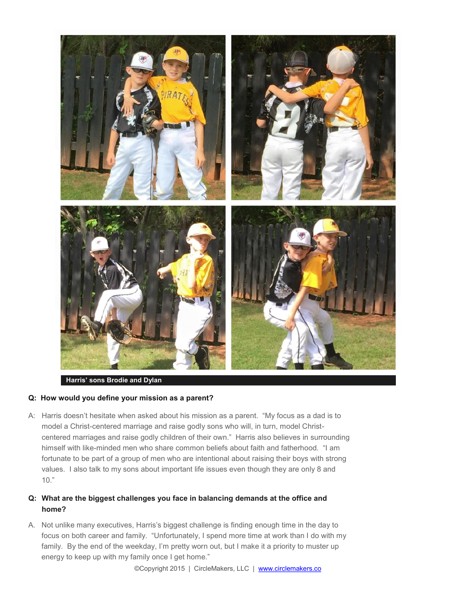

#### **Harris' sons Brodie and Dylan**

#### **Q: How would you define your mission as a parent?**

A: Harris doesn't hesitate when asked about his mission as a parent. "My focus as a dad is to model a Christ-centered marriage and raise godly sons who will, in turn, model Christcentered marriages and raise godly children of their own." Harris also believes in surrounding himself with like-minded men who share common beliefs about faith and fatherhood. "I am fortunate to be part of a group of men who are intentional about raising their boys with strong values. I also talk to my sons about important life issues even though they are only 8 and 10."

#### **Q: What are the biggest challenges you face in balancing demands at the office and home?**

A. Not unlike many executives, Harris's biggest challenge is finding enough time in the day to focus on both career and family. "Unfortunately, I spend more time at work than I do with my family. By the end of the weekday, I'm pretty worn out, but I make it a priority to muster up energy to keep up with my family once I get home."